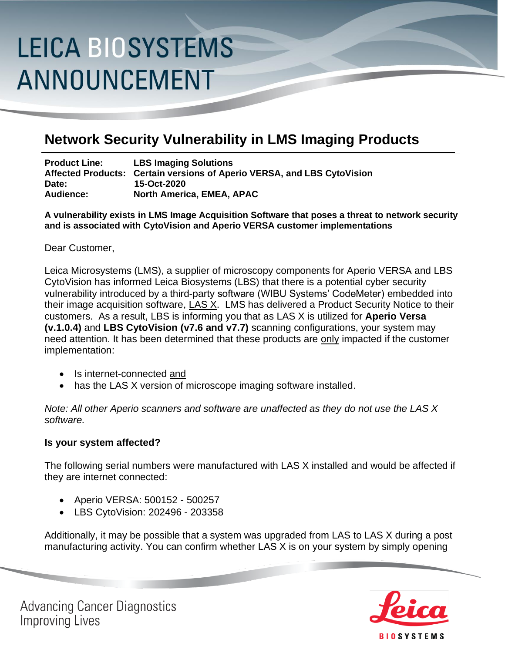# **LEICA BIOSYSTEMS** ANNOUNCEMENT

### **Network Security Vulnerability in LMS Imaging Products**

**Product Line: LBS Imaging Solutions Affected Products: Certain versions of Aperio VERSA, and LBS CytoVision Date: 15-Oct-2020 Audience: North America, EMEA, APAC**

**A vulnerability exists in LMS Image Acquisition Software that poses a threat to network security and is associated with CytoVision and Aperio VERSA customer implementations**

#### Dear Customer,

Leica Microsystems (LMS), a supplier of microscopy components for Aperio VERSA and LBS CytoVision has informed Leica Biosystems (LBS) that there is a potential cyber security vulnerability introduced by a third-party software (WIBU Systems' CodeMeter) embedded into their image acquisition software, LAS X. LMS has delivered a Product Security Notice to their customers. As a result, LBS is informing you that as LAS X is utilized for **Aperio Versa (v.1.0.4)** and **LBS CytoVision (v7.6 and v7.7)** scanning configurations, your system may need attention. It has been determined that these products are only impacted if the customer implementation:

- Is internet-connected and
- has the LAS X version of microscope imaging software installed.

*Note: All other Aperio scanners and software are unaffected as they do not use the LAS X software.*

#### **Is your system affected?**

The following serial numbers were manufactured with LAS X installed and would be affected if they are internet connected:

- Aperio VERSA: 500152 500257
- LBS CytoVision: 202496 203358

Additionally, it may be possible that a system was upgraded from LAS to LAS X during a post manufacturing activity. You can confirm whether LAS X is on your system by simply opening



**Advancing Cancer Diagnostics Improving Lives**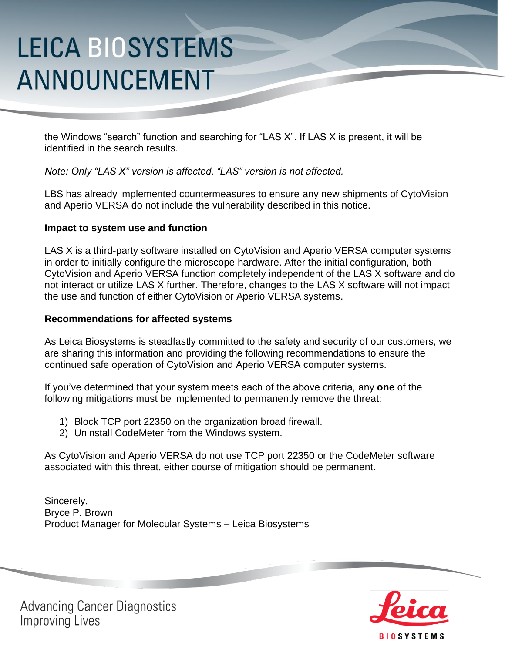# **LEICA BIOSYSTEMS** ANNOUNCEMENT

the Windows "search" function and searching for "LAS X". If LAS X is present, it will be identified in the search results.

*Note: Only "LAS X" version is affected. "LAS" version is not affected.*

LBS has already implemented countermeasures to ensure any new shipments of CytoVision and Aperio VERSA do not include the vulnerability described in this notice.

### **Impact to system use and function**

LAS X is a third-party software installed on CytoVision and Aperio VERSA computer systems in order to initially configure the microscope hardware. After the initial configuration, both CytoVision and Aperio VERSA function completely independent of the LAS X software and do not interact or utilize LAS X further. Therefore, changes to the LAS X software will not impact the use and function of either CytoVision or Aperio VERSA systems.

#### **Recommendations for affected systems**

As Leica Biosystems is steadfastly committed to the safety and security of our customers, we are sharing this information and providing the following recommendations to ensure the continued safe operation of CytoVision and Aperio VERSA computer systems.

If you've determined that your system meets each of the above criteria, any **one** of the following mitigations must be implemented to permanently remove the threat:

- 1) Block TCP port 22350 on the organization broad firewall.
- 2) Uninstall CodeMeter from the Windows system.

As CytoVision and Aperio VERSA do not use TCP port 22350 or the CodeMeter software associated with this threat, either course of mitigation should be permanent.

Sincerely, Bryce P. Brown Product Manager for Molecular Systems – Leica Biosystems



**Advancing Cancer Diagnostics Improving Lives**